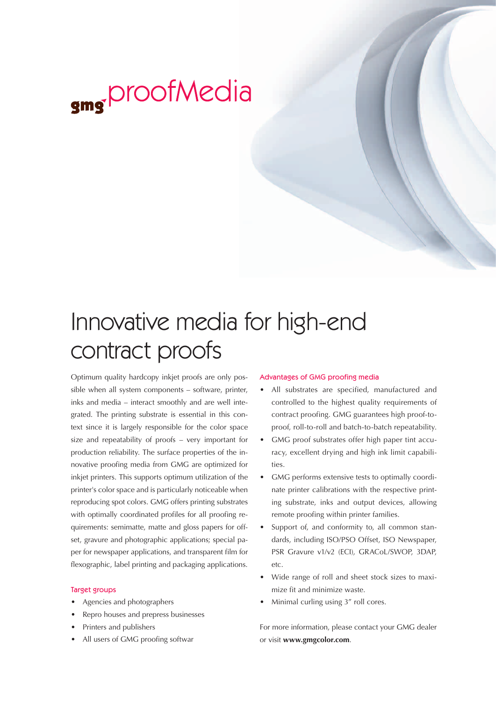

## Innovative media for high-end contract proofs

Optimum quality hardcopy inkjet proofs are only possible when all system components – software, printer, inks and media – interact smoothly and are well integrated. The printing substrate is essential in this context since it is largely responsible for the color space size and repeatability of proofs – very important for production reliability. The surface properties of the innovative proofing media from GMG are optimized for inkjet printers. This supports optimum utilization of the printer's color space and is particularly noticeable when reproducing spot colors. GMG offers printing substrates with optimally coordinated profiles for all proofing requirements: semimatte, matte and gloss papers for offset, gravure and photographic applications; special paper for newspaper applications, and transparent film for flexographic, label printing and packaging applications.

## Target groups

- Agencies and photographers
- Repro houses and prepress businesses
- Printers and publishers
- All users of GMG proofing softwar

## Advantages of GMG proofing media

- All substrates are specified, manufactured and controlled to the highest quality requirements of contract proofing. GMG guarantees high proof-toproof, roll-to-roll and batch-to-batch repeatability.
- GMG proof substrates offer high paper tint accuracy, excellent drying and high ink limit capabilities.
- GMG performs extensive tests to optimally coordinate printer calibrations with the respective printing substrate, inks and output devices, allowing remote proofing within printer families.
- Support of, and conformity to, all common standards, including ISO/PSO Offset, ISO Newspaper, PSR Gravure v1/v2 (ECI), GRACoL/SWOP, 3DAP, etc.
- Wide range of roll and sheet stock sizes to maximize fit and minimize waste.
- Minimal curling using 3" roll cores.

For more information, please contact your GMG dealer or visit **www.gmgcolor.com**.